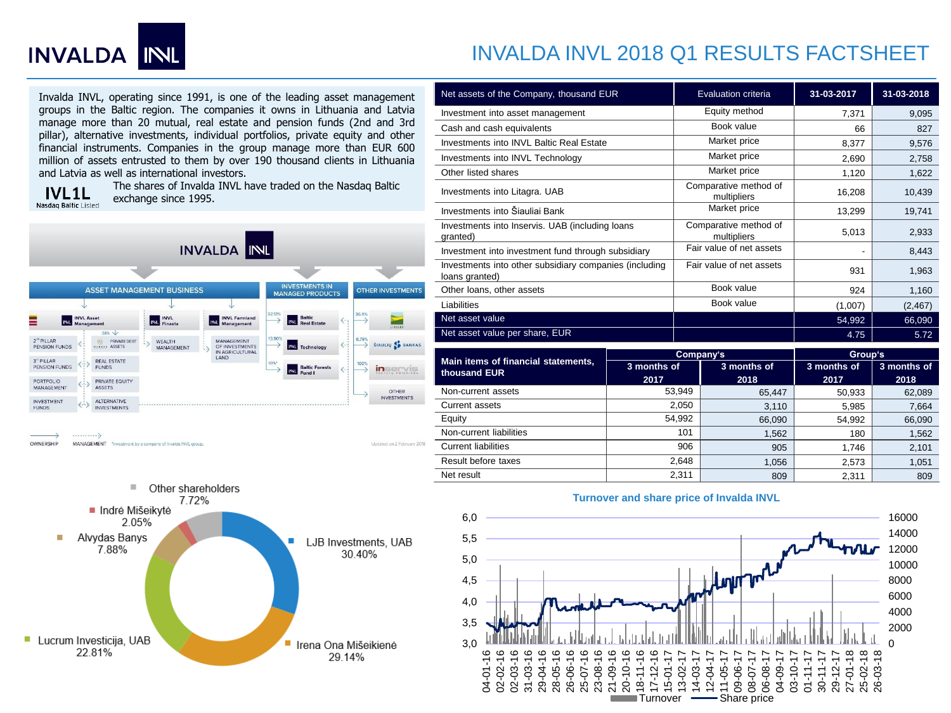

# INVALDA INVL 2018 Q1 RESULTS FACTSHEET

Invalda INVL, operating since 1991, is one of the leading asset management groups in the Baltic region. The companies it owns in Lithuania and Latvia manage more than 20 mutual, real estate and pension funds (2nd and 3rd pillar), alternative investments, individual portfolios, private equity and other financial instruments. Companies in the group manage more than EUR 600 million of assets entrusted to them by over 190 thousand clients in Lithuania and Latvia as well as international investors.

**IVL1L** Nasdaq Baltic Listed The shares of Invalda INVL have traded on the Nasdaq Baltic exchange since 1995.



Other shareholders  $\mathcal{L}_{\mathcal{A}}$ 7.72% Indrė Mišeikytė 2.05% Alvydas Banys ٠ ÷ LJB Investments, UAB 7.88% 30.40% Lucrum Investicija, UAB Irena Ona Mišeikienė 22.81% 29.14%

| Net assets of the Company, thousand EUR                                  |           | Evaluation criteria                  | 31-03-2017 | 31-03-2018 |
|--------------------------------------------------------------------------|-----------|--------------------------------------|------------|------------|
| Investment into asset management                                         |           | Equity method                        | 7,371      | 9,095      |
| Cash and cash equivalents                                                |           | Book value                           | 66         | 827        |
| Investments into INVL Baltic Real Estate                                 |           | Market price                         | 8,377      | 9,576      |
| Investments into INVL Technology                                         |           | Market price                         | 2,690      | 2,758      |
| Other listed shares                                                      |           | Market price                         | 1,120      | 1,622      |
| Investments into Litagra. UAB                                            |           | Comparative method of<br>multipliers | 16,208     | 10,439     |
| Investments into Šiauliai Bank                                           |           | Market price                         | 13,299     | 19,741     |
| Investments into Inservis. UAB (including loans<br>granted)              |           | Comparative method of<br>multipliers | 5,013      | 2,933      |
| Investment into investment fund through subsidiary                       |           | Fair value of net assets             |            | 8,443      |
| Investments into other subsidiary companies (including<br>loans granted) |           | Fair value of net assets             | 931        | 1,963      |
| Other loans, other assets                                                |           | Book value                           | 924        | 1,160      |
| Liabilities                                                              |           | Book value                           | (1,007)    | (2, 467)   |
| Net asset value                                                          |           |                                      | 54,992     | 66,090     |
| Net asset value per share, EUR                                           |           |                                      | 4.75       | 5.72       |
| Main itame of financial etatamante                                       | Company's |                                      | Group's    |            |

|                                                     |                            | Company's | Group's     |             |  |
|-----------------------------------------------------|----------------------------|-----------|-------------|-------------|--|
| Main items of financial statements,<br>thousand EUR | 3 months of<br>3 months of |           | 3 months of | 3 months of |  |
|                                                     | 2017                       | 2018      | 2017        | 2018        |  |
| Non-current assets                                  | 53.949                     | 65.447    | 50,933      | 62,089      |  |
| Current assets                                      | 2.050                      | 3.110     | 5,985       | 7,664       |  |
| Equity                                              | 54.992                     | 66.090    | 54,992      | 66,090      |  |
| Non-current liabilities                             | 101                        | 1.562     | 180         | 1,562       |  |
| <b>Current liabilities</b>                          | 906                        | 905       | 1.746       | 2,101       |  |
| Result before taxes                                 | 2.648                      | 1.056     | 2.573       | 1,051       |  |
| Net result                                          | 2.311                      | 809       | 2,311       | 809         |  |



### **Turnover and share price of Invalda INVL**